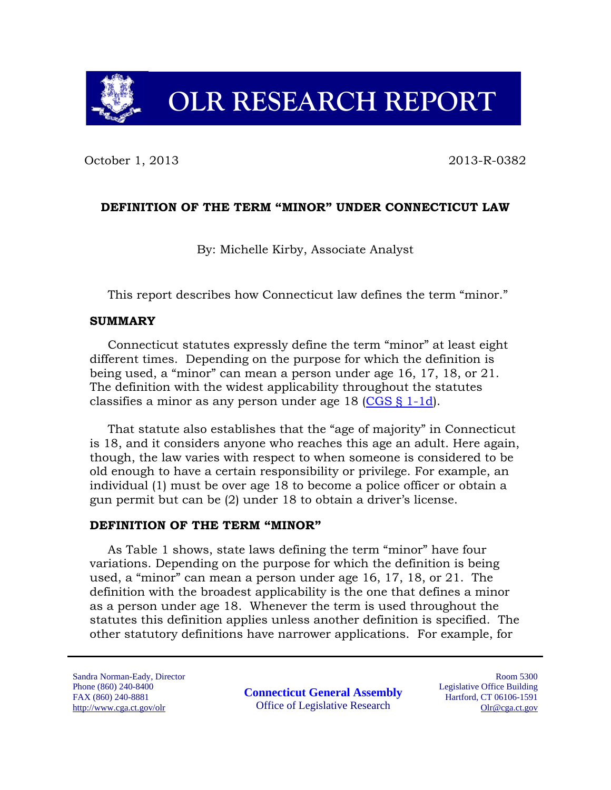# **OLR RESEARCH REPORT**

October 1, 2013 2013-R-0382

### **DEFINITION OF THE TERM "MINOR" UNDER CONNECTICUT LAW**

By: Michelle Kirby, Associate Analyst

This report describes how Connecticut law defines the term "minor."

#### **SUMMARY**

Connecticut statutes expressly define the term "minor" at least eight different times. Depending on the purpose for which the definition is being used, a "minor" can mean a person under age 16, 17, 18, or 21. The definition with the widest applicability throughout the statutes classifies a minor as any person under age 18 [\(CGS § 1-1d\)](http://cga.ct.gov/current/pub/chap_001.htm#sec_1-1d).

That statute also establishes that the "age of majority" in Connecticut is 18, and it considers anyone who reaches this age an adult. Here again, though, the law varies with respect to when someone is considered to be old enough to have a certain responsibility or privilege. For example, an individual (1) must be over age 18 to become a police officer or obtain a gun permit but can be (2) under 18 to obtain a driver's license.

#### **DEFINITION OF THE TERM "MINOR"**

As Table 1 shows, state laws defining the term "minor" have four variations. Depending on the purpose for which the definition is being used, a "minor" can mean a person under age 16, 17, 18, or 21. The definition with the broadest applicability is the one that defines a minor as a person under age 18. Whenever the term is used throughout the statutes this definition applies unless another definition is specified. The other statutory definitions have narrower applications. For example, for

Sandra Norman-Eady, Director Phone (860) 240-8400 FAX (860) 240-8881 http://www.cga.ct.gov/olr

**Connecticut General Assembly** Office of Legislative Research

Room 5300 Legislative Office Building Hartford, CT 06106-1591 Olr@cga.ct.gov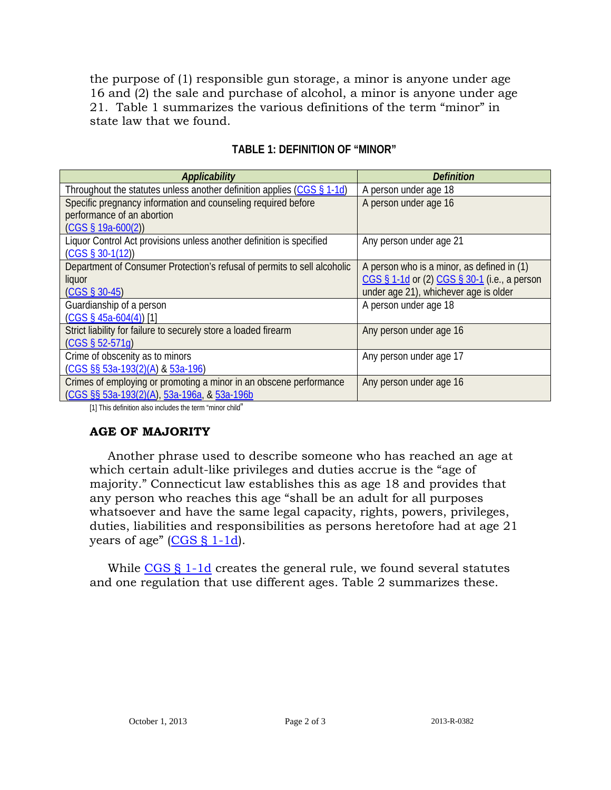the purpose of (1) responsible gun storage, a minor is anyone under age 16 and (2) the sale and purchase of alcohol, a minor is anyone under age 21. Table 1 summarizes the various definitions of the term "minor" in state law that we found.

| Applicability                                                            | <b>Definition</b>                            |
|--------------------------------------------------------------------------|----------------------------------------------|
| Throughout the statutes unless another definition applies (CGS § 1-1d)   | A person under age 18                        |
| Specific pregnancy information and counseling required before            | A person under age 16                        |
| performance of an abortion                                               |                                              |
| $(CGS \S 19a-600(2))$                                                    |                                              |
| Liquor Control Act provisions unless another definition is specified     | Any person under age 21                      |
| $(CGS \S 30-1(12))$                                                      |                                              |
| Department of Consumer Protection's refusal of permits to sell alcoholic | A person who is a minor, as defined in (1)   |
| liquor                                                                   | CGS § 1-1d or (2) CGS § 30-1 (i.e., a person |
| $(CGS \S 30-45)$                                                         | under age 21), whichever age is older        |
| Guardianship of a person                                                 | A person under age 18                        |
| $(CGS \S 45a-604(4))$ [1]                                                |                                              |
| Strict liability for failure to securely store a loaded firearm          | Any person under age 16                      |
| $(CGS § 52-571q)$                                                        |                                              |
| Crime of obscenity as to minors                                          | Any person under age 17                      |
| (CGS §§ 53a-193(2)(A) & 53a-196)                                         |                                              |
| Crimes of employing or promoting a minor in an obscene performance       | Any person under age 16                      |
| (CGS §§ 53a-193(2)(A), 53a-196a, & 53a-196b                              |                                              |

#### **TABLE 1: DEFINITION OF "MINOR"**

[1] This definition also includes the term "minor child"

## **AGE OF MAJORITY**

Another phrase used to describe someone who has reached an age at which certain adult-like privileges and duties accrue is the "age of majority." Connecticut law establishes this as age 18 and provides that any person who reaches this age "shall be an adult for all purposes whatsoever and have the same legal capacity, rights, powers, privileges, duties, liabilities and responsibilities as persons heretofore had at age 21 years of age" [\(CGS § 1-1d\)](http://cga.ct.gov/current/pub/chap_001.htm#sec_1-1d).

While [CGS § 1-1d](http://cga.ct.gov/current/pub/chap_001.htm#sec_1-1d) creates the general rule, we found several statutes and one regulation that use different ages. Table 2 summarizes these.